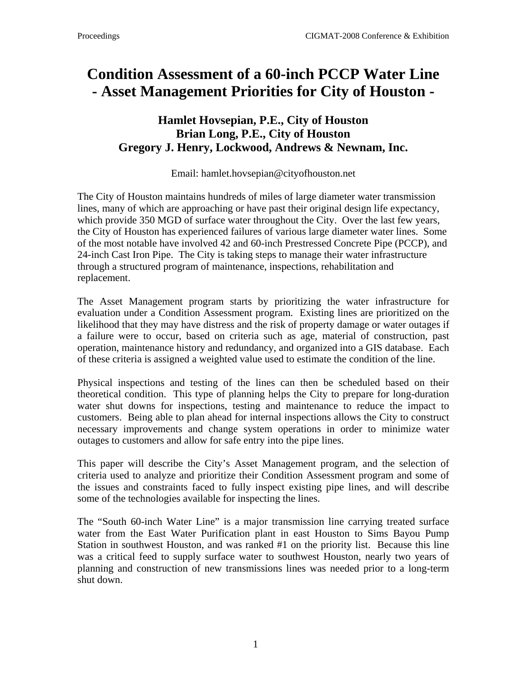## **Condition Assessment of a 60-inch PCCP Water Line - Asset Management Priorities for City of Houston -**

## **Hamlet Hovsepian, P.E., City of Houston Brian Long, P.E., City of Houston Gregory J. Henry, Lockwood, Andrews & Newnam, Inc.**

Email: hamlet.hovsepian@cityofhouston.net

The City of Houston maintains hundreds of miles of large diameter water transmission lines, many of which are approaching or have past their original design life expectancy, which provide 350 MGD of surface water throughout the City. Over the last few years, the City of Houston has experienced failures of various large diameter water lines. Some of the most notable have involved 42 and 60-inch Prestressed Concrete Pipe (PCCP), and 24-inch Cast Iron Pipe. The City is taking steps to manage their water infrastructure through a structured program of maintenance, inspections, rehabilitation and replacement.

The Asset Management program starts by prioritizing the water infrastructure for evaluation under a Condition Assessment program. Existing lines are prioritized on the likelihood that they may have distress and the risk of property damage or water outages if a failure were to occur, based on criteria such as age, material of construction, past operation, maintenance history and redundancy, and organized into a GIS database. Each of these criteria is assigned a weighted value used to estimate the condition of the line.

Physical inspections and testing of the lines can then be scheduled based on their theoretical condition. This type of planning helps the City to prepare for long-duration water shut downs for inspections, testing and maintenance to reduce the impact to customers. Being able to plan ahead for internal inspections allows the City to construct necessary improvements and change system operations in order to minimize water outages to customers and allow for safe entry into the pipe lines.

This paper will describe the City's Asset Management program, and the selection of criteria used to analyze and prioritize their Condition Assessment program and some of the issues and constraints faced to fully inspect existing pipe lines, and will describe some of the technologies available for inspecting the lines.

The "South 60-inch Water Line" is a major transmission line carrying treated surface water from the East Water Purification plant in east Houston to Sims Bayou Pump Station in southwest Houston, and was ranked #1 on the priority list. Because this line was a critical feed to supply surface water to southwest Houston, nearly two years of planning and construction of new transmissions lines was needed prior to a long-term shut down.